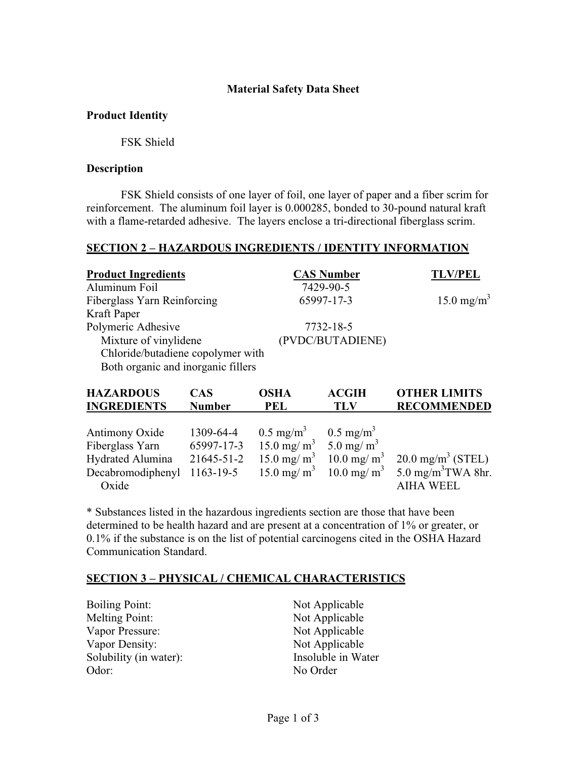### **Material Safety Data Sheet**

### **Product Identity**

FSK Shield

#### **Description**

FSK Shield consists of one layer of foil, one layer of paper and a fiber scrim for reinforcement. The aluminum foil layer is 0.000285, bonded to 30-pound natural kraft with a flame-retarded adhesive. The layers enclose a tri-directional fiberglass scrim.

# **SECTION 2 – HAZARDOUS INGREDIENTS / IDENTITY INFORMATION**

| <b>Product Ingredients</b>         |            |      | <b>CAS Number</b> | <b>TLV/PEL</b>                   |
|------------------------------------|------------|------|-------------------|----------------------------------|
| Aluminum Foil                      |            |      | 7429-90-5         |                                  |
| Fiberglass Yarn Reinforcing        |            |      | 65997-17-3        | 15.0 mg/m <sup>3</sup>           |
| Kraft Paper                        |            |      |                   |                                  |
| Polymeric Adhesive                 |            |      | 7732-18-5         |                                  |
| Mixture of vinylidene              |            |      | (PVDC/BUTADIENE)  |                                  |
| Chloride/butadiene copolymer with  |            |      |                   |                                  |
| Both organic and inorganic fillers |            |      |                   |                                  |
| <b>HAZARDOUS</b>                   | <b>CAS</b> | OSHA | <b>ACGIH</b>      | <b>OTHER LIMITS</b>              |
| <b>INCREDIENTS</b>                 | Numhar     | PFI  | TI V              | <b><i><u>RECOMMENDED</u></i></b> |

| <b>TRUNEDIERIS</b> | танност | 1 L L                                                     | . . <i>.</i> . | <b>NECOMMENDED</b>                                                                                       |
|--------------------|---------|-----------------------------------------------------------|----------------|----------------------------------------------------------------------------------------------------------|
|                    |         |                                                           |                |                                                                                                          |
| Antimony Oxide     |         | 1309-64-4 $0.5 \text{ mg/m}^3$ $0.5 \text{ mg/m}^3$       |                |                                                                                                          |
| Fiberglass Yarn    |         | 65997-17-3 15.0 mg/ m <sup>3</sup> 5.0 mg/ m <sup>3</sup> |                |                                                                                                          |
|                    |         |                                                           |                | Hydrated Alumina 21645-51-2 15.0 mg/m <sup>3</sup> 10.0 mg/m <sup>3</sup> 20.0 mg/m <sup>3</sup> (STEL)  |
|                    |         |                                                           |                | Decabromodiphenyl 1163-19-5 15.0 mg/m <sup>3</sup> 10.0 mg/m <sup>3</sup> 5.0 mg/m <sup>3</sup> TWA 8hr. |
| Oxide              |         |                                                           |                | AIHA WEEL                                                                                                |
|                    |         |                                                           |                |                                                                                                          |

\* Substances listed in the hazardous ingredients section are those that have been determined to be health hazard and are present at a concentration of 1% or greater, or 0.1% if the substance is on the list of potential carcinogens cited in the OSHA Hazard Communication Standard.

## **SECTION 3 – PHYSICAL / CHEMICAL CHARACTERISTICS**

| <b>Boiling Point:</b>  | Not Applicable     |
|------------------------|--------------------|
| Melting Point:         | Not Applicable     |
| Vapor Pressure:        | Not Applicable     |
| Vapor Density:         | Not Applicable     |
| Solubility (in water): | Insoluble in Water |
| Odor:                  | No Order           |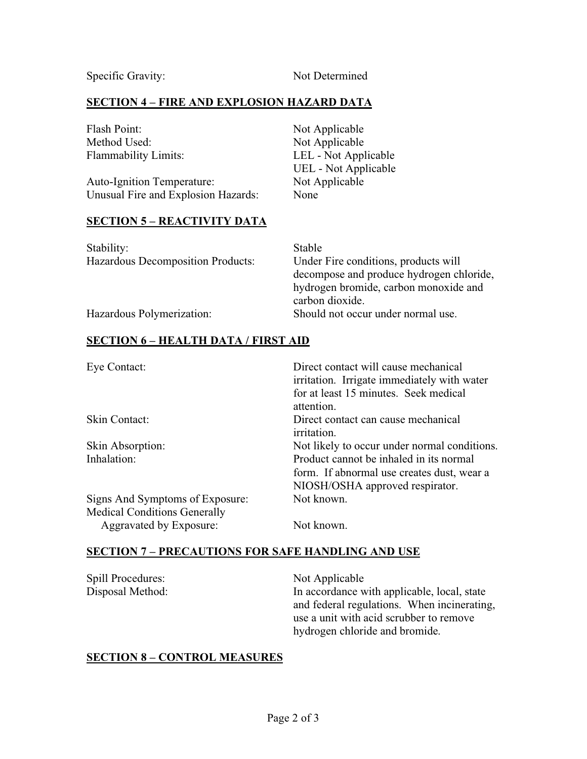Specific Gravity: Not Determined

# **SECTION 4 – FIRE AND EXPLOSION HAZARD DATA**

| Flash Point:                        | Not Applicable       |
|-------------------------------------|----------------------|
| Method Used:                        | Not Applicable       |
| <b>Flammability Limits:</b>         | LEL - Not Applicable |
|                                     | UEL - Not Applicable |
| <b>Auto-Ignition Temperature:</b>   | Not Applicable       |
| Unusual Fire and Explosion Hazards: | None                 |

#### **SECTION 5 – REACTIVITY DATA**

| Stability:                               | Stable                                   |
|------------------------------------------|------------------------------------------|
| <b>Hazardous Decomposition Products:</b> | Under Fire conditions, products will     |
|                                          | decompose and produce hydrogen chloride, |
|                                          | hydrogen bromide, carbon monoxide and    |
|                                          | carbon dioxide.                          |
| Hazardous Polymerization:                | Should not occur under normal use.       |

## **SECTION 6 – HEALTH DATA / FIRST AID**

| Eye Contact:                        | Direct contact will cause mechanical<br>irritation. Irrigate immediately with water                                      |
|-------------------------------------|--------------------------------------------------------------------------------------------------------------------------|
|                                     | for at least 15 minutes. Seek medical<br>attention.                                                                      |
| Skin Contact:                       | Direct contact can cause mechanical<br><i>irritation.</i>                                                                |
| Skin Absorption:                    | Not likely to occur under normal conditions.                                                                             |
| Inhalation:                         | Product cannot be inhaled in its normal<br>form. If abnormal use creates dust, wear a<br>NIOSH/OSHA approved respirator. |
| Signs And Symptoms of Exposure:     | Not known.                                                                                                               |
| <b>Medical Conditions Generally</b> |                                                                                                                          |
| Aggravated by Exposure:             | Not known.                                                                                                               |

#### **SECTION 7 – PRECAUTIONS FOR SAFE HANDLING AND USE**

| Spill Procedures: | Not Applicable                              |
|-------------------|---------------------------------------------|
| Disposal Method:  | In accordance with applicable, local, state |
|                   | and federal regulations. When incinerating, |
|                   | use a unit with acid scrubber to remove     |
|                   | hydrogen chloride and bromide.              |

#### **SECTION 8 – CONTROL MEASURES**